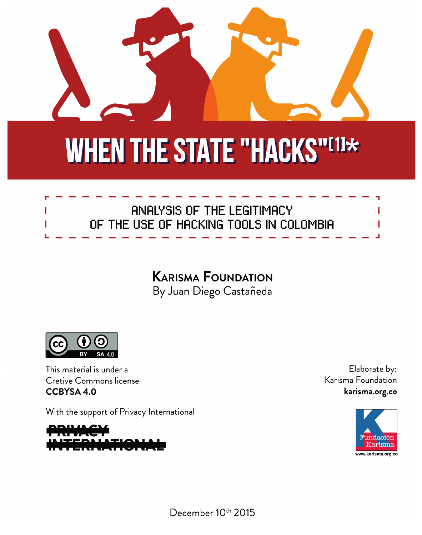

# **WHEN THE STATE "HACKS"[1]\***



## **KARISMA FOUNDATION** By Juan Diego Castañeda



This material is under a **Cretive Commons license CCBYSA 4.0** 

With the support of Privacy International

Elaborate by: Karisma Foundation karisma.org.co



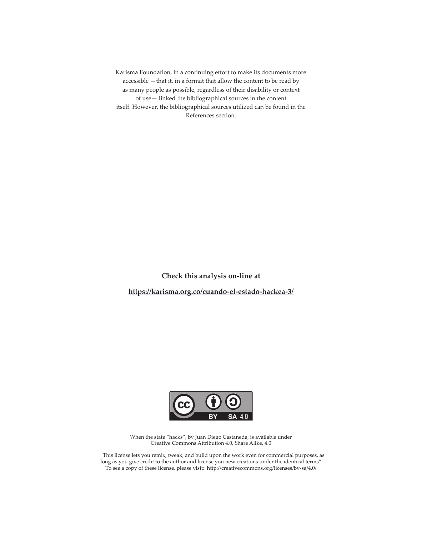Karisma Foundation, in a continuing effort to make its documents more accessible —that it, in a format that allow the content to be read by as many people as possible, regardless of their disability or context of use— linked the bibliographical sources in the content itself. However, the bibliographical sources utilized can be found in the References section.

**Check this analysis on-line at** https://karisma.org.co/cuando-el-estado-hackea-3/



When the state "hacks", by Juan Diego Castaneda, is available under Creative Commons Attribution 4.0, Share Alike, 4.0

 This license lets you remix, tweak, and build upon the work even for commercial purposes, as long as you give credit to the author and license you new creations under the identical terms" To see a copy of these license, please visit: http://creativecommons.org/licenses/by-sa/4.0/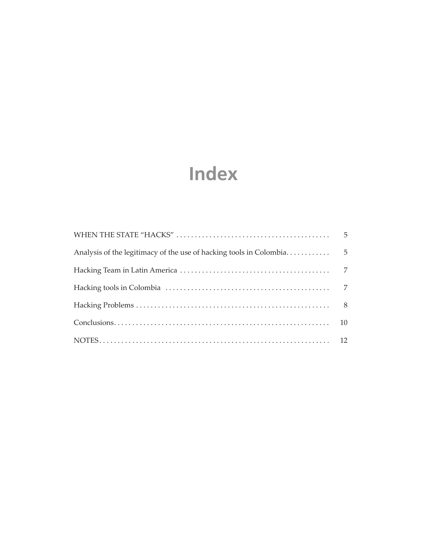# **Index**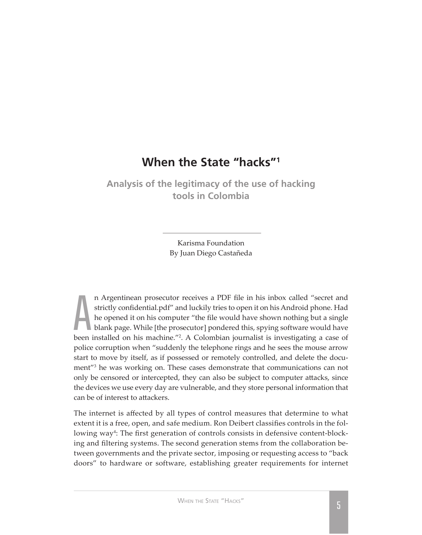### **When the State "hacks"1**

<span id="page-4-0"></span>**Analysis of the legitimacy of the use of hacking tools in Colombia**

> Karisma Foundation By Juan Diego Castañeda

A<br>been<br>police n Argentinean prosecutor receives a PDF file in his inbox called "secret and strictly confidential.pdf" and luckily tries to open it on his Android phone. Had he opened it on his computer "the file would have shown nothing but a single blank page. While [the prosecutor] pondered this, spying software would have been installed on his machine."<sup>2</sup>. A Colombian journalist is investigating a case of police corruption when "suddenly the telephone rings and he sees the mouse arrow start to move by itself, as if possessed or remotely controlled, and delete the document"<sup>3</sup> he was working on. These cases demonstrate that communications can not only be censored or intercepted, they can also be subject to computer attacks, since the devices we use every day are vulnerable, and they store personal information that can be of interest to attackers.

The internet is affected by all types of control measures that determine to what extent it is a free, open, and safe medium. Ron Deibert classifies controls in the following way<sup>4</sup>: The first generation of controls consists in defensive content-blocking and filtering systems. The second generation stems from the collaboration between governments and the private sector, imposing or requesting access to "back doors" to hardware or software, establishing greater requirements for internet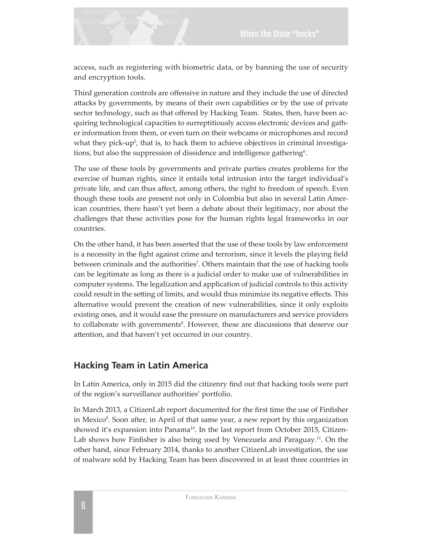<span id="page-5-0"></span>access, such as registering with biometric data, or by banning the use of security and encryption tools.

Third generation controls are offensive in nature and they include the use of directed attacks by governments, by means of their own capabilities or by the use of private sector technology, such as that offered by Hacking Team. States, then, have been acquiring technological capacities to surreptitiously access electronic devices and gather information from them, or even turn on their webcams or microphones and record what they pick-up<sup>5</sup>, that is, to hack them to achieve objectives in criminal investigations, but also the suppression of dissidence and intelligence gathering $^6$ .

The use of these tools by governments and private parties creates problems for the exercise of human rights, since it entails total intrusion into the target individual's private life, and can thus affect, among others, the right to freedom of speech. Even though these tools are present not only in Colombia but also in several Latin American countries, there hasn't yet been a debate about their legitimacy, nor about the challenges that these activities pose for the human rights legal frameworks in our countries.

On the other hand, it has been asserted that the use of these tools by law enforcement is a necessity in the fight against crime and terrorism, since it levels the playing field between criminals and the authorities<sup>7</sup>. Others maintain that the use of hacking tools can be legitimate as long as there is a judicial order to make use of vulnerabilities in computer systems. The legalization and application of judicial controls to this activity could result in the setting of limits, and would thus minimize its negative effects. This alternative would prevent the creation of new vulnerabilities, since it only exploits existing ones, and it would ease the pressure on manufacturers and service providers to collaborate with governments<sup>8</sup>. However, these are discussions that deserve our attention, and that haven't yet occurred in our country.

#### **Hacking Team in Latin America**

In Latin America, only in 2015 did the citizenry find out that hacking tools were part of the region's surveillance authorities' portfolio.

In March 2013, a CitizenLab report documented for the first time the use of Finfisher in Mexico<sup>9</sup>. Soon after, in April of that same year, a new report by this organization showed it's expansion into Panama<sup>10</sup>. In the last report from October 2015, Citizen-Lab shows how Finfisher is also being used by Venezuela and Paraguay.<sup>11</sup>. On the other hand, since February 2014, thanks to another CitizenLab investigation, the use of malware sold by Hacking Team has been discovered in at least three countries in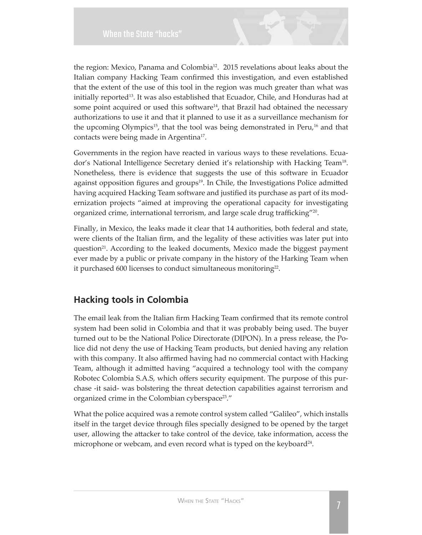

<span id="page-6-0"></span>the region: Mexico, Panama and Colombia<sup>12</sup>. 2015 revelations about leaks about the Italian company Hacking Team confirmed this investigation, and even established that the extent of the use of this tool in the region was much greater than what was initially reported $^{\text{13}}$ . It was also established that Ecuador, Chile, and Honduras had at some point acquired or used this software<sup>14</sup>, that Brazil had obtained the necessary authorizations to use it and that it planned to use it as a surveillance mechanism for the upcoming Olympics<sup>15</sup>, that the tool was being demonstrated in Peru,<sup>16</sup> and that contacts were being made in Argentina<sup>17</sup>.

Governments in the region have reacted in various ways to these revelations. Ecuador's National Intelligence Secretary denied it's relationship with Hacking Team<sup>18</sup>. Nonetheless, there is evidence that suggests the use of this software in Ecuador against opposition figures and groups<sup>19</sup>. In Chile, the Investigations Police admitted having acquired Hacking Team software and justified its purchase as part of its modernization projects "aimed at improving the operational capacity for investigating organized crime, international terrorism, and large scale drug trafficking"<sup>20</sup>.

Finally, in Mexico, the leaks made it clear that 14 authorities, both federal and state, were clients of the Italian firm, and the legality of these activities was later put into question<sup>21</sup>. According to the leaked documents, Mexico made the biggest payment ever made by a public or private company in the history of the Harking Team when it purchased 600 licenses to conduct simultaneous monitoring<sup>22</sup>.

#### **Hacking tools in Colombia**

The email leak from the Italian firm Hacking Team confirmed that its remote control system had been solid in Colombia and that it was probably being used. The buyer turned out to be the National Police Directorate (DIPON). In a press release, the Police did not deny the use of Hacking Team products, but denied having any relation with this company. It also affirmed having had no commercial contact with Hacking Team, although it admitted having "acquired a technology tool with the company Robotec Colombia S.A.S, which offers security equipment. The purpose of this purchase -it said- was bolstering the threat detection capabilities against terrorism and organized crime in the Colombian cyberspace<sup>23</sup>."

What the police acquired was a remote control system called "Galileo", which installs itself in the target device through files specially designed to be opened by the target user, allowing the attacker to take control of the device, take information, access the microphone or webcam, and even record what is typed on the keyboard<sup>24</sup>.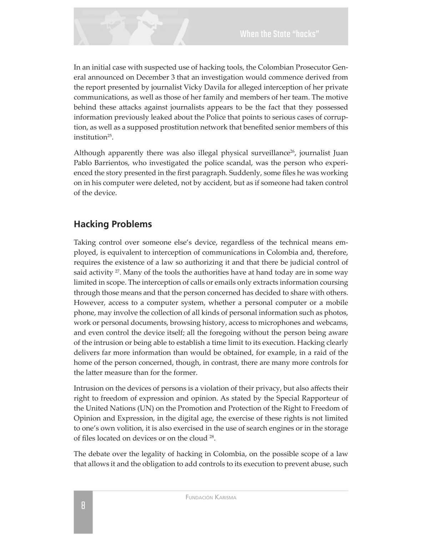<span id="page-7-0"></span>In an initial case with suspected use of hacking tools, the Colombian Prosecutor General announced on December 3 that an investigation would commence derived from the report presented by journalist Vicky Davila for alleged interception of her private communications, as well as those of her family and members of her team. The motive behind these attacks against journalists appears to be the fact that they possessed information previously leaked about the Police that points to serious cases of corruption, as well as a supposed prostitution network that benefited senior members of this institution $25$ .

Although apparently there was also illegal physical surveillance<sup>26</sup>, journalist Juan Pablo Barrientos, who investigated the police scandal, was the person who experienced the story presented in the first paragraph. Suddenly, some files he was working on in his computer were deleted, not by accident, but as if someone had taken control of the device.

#### **Hacking Problems**

Taking control over someone else's device, regardless of the technical means employed, is equivalent to interception of communications in Colombia and, therefore, requires the existence of a law so authorizing it and that there be judicial control of said activity  $2^7$ . Many of the tools the authorities have at hand today are in some way limited in scope. The interception of calls or emails only extracts information coursing through those means and that the person concerned has decided to share with others. However, access to a computer system, whether a personal computer or a mobile phone, may involve the collection of all kinds of personal information such as photos, work or personal documents, browsing history, access to microphones and webcams, and even control the device itself; all the foregoing without the person being aware of the intrusion or being able to establish a time limit to its execution. Hacking clearly delivers far more information than would be obtained, for example, in a raid of the home of the person concerned, though, in contrast, there are many more controls for the latter measure than for the former.

Intrusion on the devices of persons is a violation of their privacy, but also affects their right to freedom of expression and opinion. As stated by the Special Rapporteur of the United Nations (UN) on the Promotion and Protection of the Right to Freedom of Opinion and Expression, in the digital age, the exercise of these rights is not limited to one's own volition, it is also exercised in the use of search engines or in the storage of files located on devices or on the cloud <sup>28</sup>.

The debate over the legality of hacking in Colombia, on the possible scope of a law that allows it and the obligation to add controls to its execution to prevent abuse, such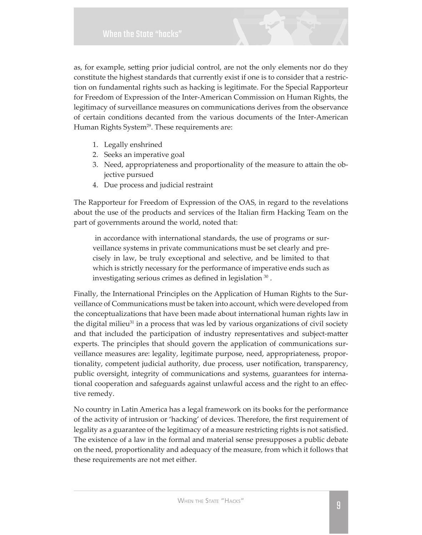as, for example, setting prior judicial control, are not the only elements nor do they constitute the highest standards that currently exist if one is to consider that a restriction on fundamental rights such as hacking is legitimate. For the Special Rapporteur for Freedom of Expression of the Inter-American Commission on Human Rights*,* the legitimacy of surveillance measures on communications derives from the observance of certain conditions decanted from the various documents of the Inter-American Human Rights System<sup>29</sup>. These requirements are:

- 1. Legally enshrined
- 2. Seeks an imperative goal
- 3. Need, appropriateness and proportionality of the measure to attain the objective pursued
- 4. Due process and judicial restraint

The Rapporteur for Freedom of Expression of the OAS, in regard to the revelations about the use of the products and services of the Italian firm Hacking Team on the part of governments around the world, noted that:

in accordance with international standards, the use of programs or surveillance systems in private communications must be set clearly and precisely in law, be truly exceptional and selective, and be limited to that which is strictly necessary for the performance of imperative ends such as investigating serious crimes as defined in legislation 30.

Finally, the International Principles on the Application of Human Rights to the Surveillance of Communications must be taken into account, which were developed from the conceptualizations that have been made about international human rights law in the digital milieu<sup>31</sup> in a process that was led by various organizations of civil society and that included the participation of industry representatives and subject-matter experts. The principles that should govern the application of communications surveillance measures are: legality, legitimate purpose, need, appropriateness, proportionality, competent judicial authority, due process, user notification, transparency, public oversight, integrity of communications and systems, guarantees for international cooperation and safeguards against unlawful access and the right to an effective remedy.

No country in Latin America has a legal framework on its books for the performance of the activity of intrusion or 'hacking' of devices. Therefore, the first requirement of legality as a guarantee of the legitimacy of a measure restricting rights is not satisfied. The existence of a law in the formal and material sense presupposes a public debate on the need, proportionality and adequacy of the measure, from which it follows that these requirements are not met either.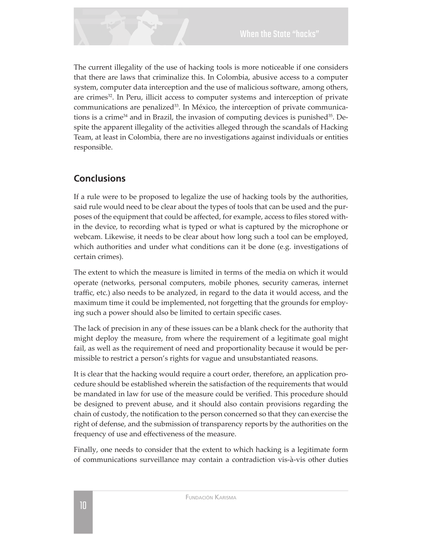<span id="page-9-0"></span>The current illegality of the use of hacking tools is more noticeable if one considers that there are laws that criminalize this. In Colombia, abusive access to a computer system, computer data interception and the use of malicious software, among others, are crimes<sup>32</sup>. In Peru, illicit access to computer systems and interception of private communications are penalized<sup>33</sup>. In México, the interception of private communications is a crime<sup>34</sup> and in Brazil, the invasion of computing devices is punished<sup>35</sup>. Despite the apparent illegality of the activities alleged through the scandals of Hacking Team, at least in Colombia, there are no investigations against individuals or entities responsible.

#### **Conclusions**

If a rule were to be proposed to legalize the use of hacking tools by the authorities, said rule would need to be clear about the types of tools that can be used and the purposes of the equipment that could be affected, for example, access to files stored within the device, to recording what is typed or what is captured by the microphone or webcam. Likewise, it needs to be clear about how long such a tool can be employed, which authorities and under what conditions can it be done (e.g. investigations of certain crimes).

The extent to which the measure is limited in terms of the media on which it would operate (networks, personal computers, mobile phones, security cameras, internet traffic, etc.) also needs to be analyzed, in regard to the data it would access, and the maximum time it could be implemented, not forgetting that the grounds for employing such a power should also be limited to certain specific cases.

The lack of precision in any of these issues can be a blank check for the authority that might deploy the measure, from where the requirement of a legitimate goal might fail, as well as the requirement of need and proportionality because it would be permissible to restrict a person's rights for vague and unsubstantiated reasons.

It is clear that the hacking would require a court order, therefore, an application procedure should be established wherein the satisfaction of the requirements that would be mandated in law for use of the measure could be verified. This procedure should be designed to prevent abuse, and it should also contain provisions regarding the chain of custody, the notification to the person concerned so that they can exercise the right of defense, and the submission of transparency reports by the authorities on the frequency of use and effectiveness of the measure.

Finally, one needs to consider that the extent to which hacking is a legitimate form of communications surveillance may contain a contradiction vis-à-vis other duties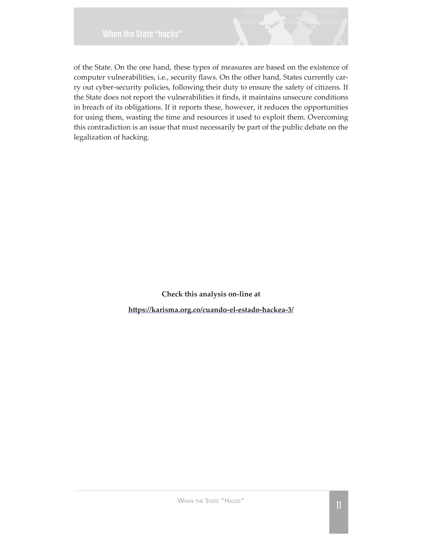

<span id="page-10-0"></span>of the State. On the one hand, these types of measures are based on the existence of computer vulnerabilities, i.e., security flaws. On the other hand, States currently carry out cyber-security policies, following their duty to ensure the safety of citizens. If the State does not report the vulnerabilities it finds, it maintains unsecure conditions in breach of its obligations. If it reports these, however, it reduces the opportunities for using them, wasting the time and resources it used to exploit them. Overcoming this contradiction is an issue that must necessarily be part of the public debate on the legalization of hacking.

> **Check this analysis on-line at** https://karisma.org.co/cuando-el-estado-hackea-3/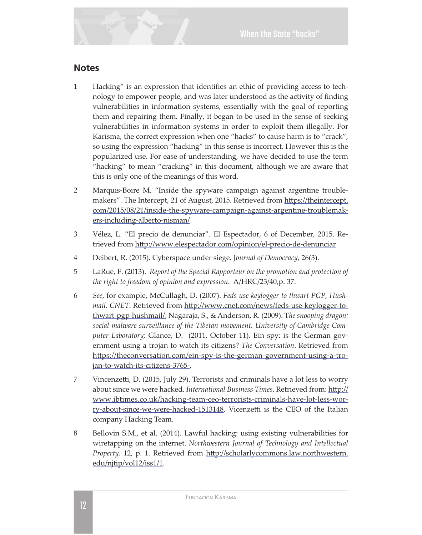#### **Notes**

- 1 Hacking" is an expression that identifies an ethic of providing access to technology to empower people, and was later understood as the activity of finding vulnerabilities in information systems, essentially with the goal of reporting them and repairing them. Finally, it began to be used in the sense of seeking vulnerabilities in information systems in order to exploit them illegally. For Karisma, the correct expression when one "hacks" to cause harm is to "crack", so using the expression "hacking" in this sense is incorrect. However this is the popularized use. For ease of understanding, we have decided to use the term "hacking" to mean "cracking" in this document, although we are aware that this is only one of the meanings of this word.
- 2 Marguis-Boire M. "Inside the spyware campaign against argentine troublemakers". The Intercept, 21 of August, 2015. Retrieved from https://theintercept. com/2015/08/21/inside-the-spyware-campaign-against-argentine-troublemakers-including-alberto-nisman/
- 3 Vélez, L. "El precio de denunciar". El Espectador, 6 of December, 2015. Retrieved from http://www.elespectador.com/opinion/el-precio-de-denunciar
- 4 Deibert, R. (2015). Cyberspace under siege. Journal of Democracy, 26(3).
- 5 LaRue, F. (2013). Report of the Special Rapporteur on the promotion and protection of the right to freedom of opinion and expression. A/HRC/23/40,p. 37.
- Ŝȳ *See*ǰȱȱ¡ǰȱǰȱǯȱǻŘŖŖŝǼǯȱ*Feds use keylogger to thwart PGP, Hushmail. CNET*. Retrieved from http://www.cnet.com/news/feds-use-keylogger-tothwart-pgp-hushmail/; Nagaraja, S., & Anderson, R. (2009). The snooping dragon: *social-malware surveillance of the Tibetan movement. University of Cambridge Computer Laboratory;* Glance, D. (2011, October 11). Ein spy: is the German government using a trojan to watch its citizens? The Conversation. Retrieved from https://theconversation.com/ein-spy-is-the-german-government-using-a-trojan-to-watch-its-citizens-3765-.
- 7 Vincenzetti, D. (2015, July 29). Terrorists and criminals have a lot less to worry about since we were hacked. International Business Times. Retrieved from: http:// www.ibtimes.co.uk/hacking-team-ceo-terrorists-criminals-have-lot-less-worry-about-since-we-were-hacked-1513148. Vicenzetti is the CEO of the Italian company Hacking Team.
- 8 Bellovin S.M., et al. (2014). Lawful hacking: using existing vulnerabilities for wiretapping on the internet. Northwestern Journal of Technology and Intellectual *Property*. 12, p. 1. Retrieved from http://scholarlycommons.law.northwestern. edu/njtip/vol12/iss1/1.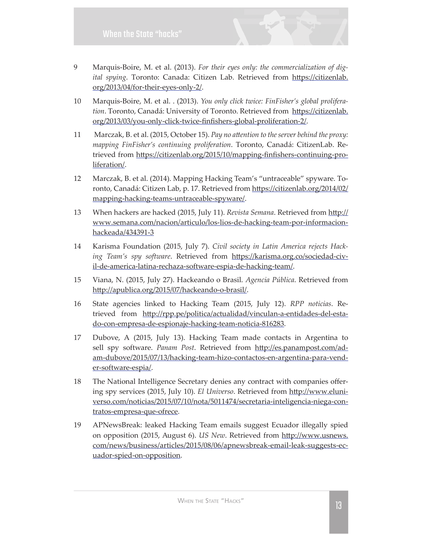- 9 Marquis-Boire, M. et al. (2013). For their eyes only: the commercialization of dig*ital spying*. Toronto: Canada: Citizen Lab. Retrieved from https://citizenlab. org/2013/04/for-their-eyes-only-2/.
- 10 Marquis-Boire, M. et al. . (2013). You only click twice: FinFisher's global proliferation. Toronto, Canadá: University of Toronto. Retrieved from https://citizenlab. org/2013/03/you-only-click-twice-finfishers-global-proliferation-2/.
- 11 Marczak, B. et al. (2015, October 15). Pay no attention to the server behind the proxy: *mapping FinFisher's continuing proliferation*. Toronto, Canadá: CitizenLab. Retrieved from https://citizenlab.org/2015/10/mapping-finfishers-continuing-proliferation/.
- 12 Marczak, B. et al. (2014). Mapping Hacking Team's "untraceable" spyware. Toronto, Canadá: Citizen Lab, p. 17. Retrieved from https://citizenlab.org/2014/02/ mapping-hacking-teams-untraceable-spyware/.
- 13 When hackers are hacked (2015, July 11). Revista Semana. Retrieved from http:// www.semana.com/nacion/articulo/los-lios-de-hacking-team-por-informacionhackeada/434391-3
- 14 Karisma Foundation (2015, July 7). Civil society in Latin America rejects Hack*ing Team's spy software*. Retrieved from https://karisma.org.co/sociedad-civil-de-america-latina-rechaza-software-espia-de-hacking-team/.
- 15 Viana, N. (2015, July 27). Hackeando o Brasil. *Agencia Pública*. Retrieved from http://apublica.org/2015/07/hackeando-o-brasil/.
- 16 State agencies linked to Hacking Team (2015, July 12). *RPP noticias*. Retrieved from http://rpp.pe/politica/actualidad/vinculan-a-entidades-del-estado-con-empresa-de-espionaje-hacking-team-noticia-816283.
- 17 Dubove, A (2015, July 13). Hacking Team made contacts in Argentina to sell spy software. Panam Post. Retrieved from http://es.panampost.com/adam-dubove/2015/07/13/hacking-team-hizo-contactos-en-argentina-para-vender-software-espia/.
- 18 The National Intelligence Secretary denies any contract with companies offering spy services (2015, July 10). El Universo. Retrieved from http://www.eluniyerso.com/noticias/2015/07/10/nota/5011474/secretaria-inteligencia-niega-contratos-empresa-que-ofrece.
- 19 APNewsBreak: leaked Hacking Team emails suggest Ecuador illegally spied on opposition (2015, August 6). *US New*. Retrieved from http://www.usnews. com/news/business/articles/2015/08/06/apnewsbreak-email-leak-suggests-ecuador-spied-on-opposition.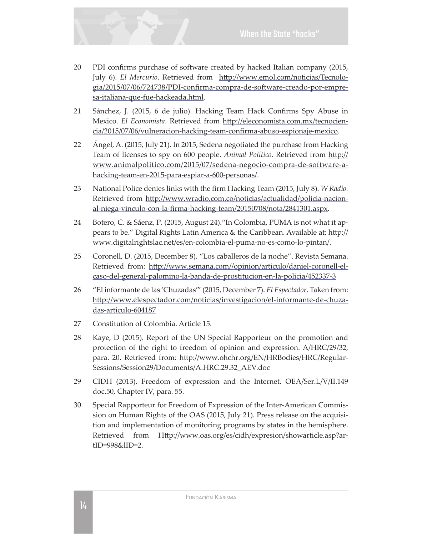

- 20 PDI confirms purchase of software created by hacked Italian company (2015, July 6). *El Mercurio*. Retrieved from http://www.emol.com/noticias/Tecnologia/2015/07/06/724738/PDI-confirma-compra-de-software-creado-por-empresa-italiana-que-fue-hackeada.html.
- 21 Sánchez, J. (2015, 6 de julio). Hacking Team Hack Confirms Spy Abuse in Mexico. El Economista. Retrieved from http://eleconomista.com.mx/tecnociencia/2015/07/06/vulneracion-hacking-team-confirma-abuso-espionaje-mexico.
- 22 Angel, A. (2015, July 21). In 2015, Sedena negotiated the purchase from Hacking Team of licenses to spy on 600 people. Animal Político. Retrieved from http:// www.animalpolitico.com/2015/07/sedena-negocio-compra-de-software-ahacking-team-en-2015-para-espiar-a-600-personas/.
- 23 National Police denies links with the firm Hacking Team (2015, July 8). *W Radio*. Retrieved from http://www.wradio.com.co/noticias/actualidad/policia-nacional-niega-vinculo-con-la-firma-hacking-team/20150708/nota/2841301.aspx.
- 24 Botero, C. & Sáenz, P. (2015, August 24). "In Colombia, PUMA is not what it appears to be." Digital Rights Latin America & the Caribbean. Available at: http:// www.digitalrightslac.net/es/en-colombia-el-puma-no-es-como-lo-pintan/.
- 25 Coronell, D. (2015, December 8). "Los caballeros de la noche". Revista Semana. Retrieved from: http://www.semana.com//opinion/articulo/daniel-coronell-elcaso-del-general-palomino-la-banda-de-prostitucion-en-la-policia/452337-3
- 26 "El informante de las 'Chuzadas'" (2015, December 7). El Espectador. Taken from: http://www.elespectador.com/noticias/investigacion/el-informante-de-chuzadas-articulo-604187
- 27 Constitution of Colombia. Article 15.
- 28 Kaye, D (2015). Report of the UN Special Rapporteur on the promotion and protection of the right to freedom of opinion and expression. A/HRC/29/32, para. 20. Retrieved from: http://www.ohchr.org/EN/HRBodies/HRC/Regular-Sessions/Session29/Documents/A.HRC.29.32\_AEV.doc
- 29 CIDH (2013). Freedom of expression and the Internet. OEA/Ser.L/V/II.149 doc.50, Chapter IV, para. 55.
- 30 Special Rapporteur for Freedom of Expression of the Inter-American Commission on Human Rights of the OAS (2015, July 21). Press release on the acquisition and implementation of monitoring programs by states in the hemisphere. Retrieved from Http://www.oas.org/es/cidh/expresion/showarticle.asp?artID=998&lID=2.